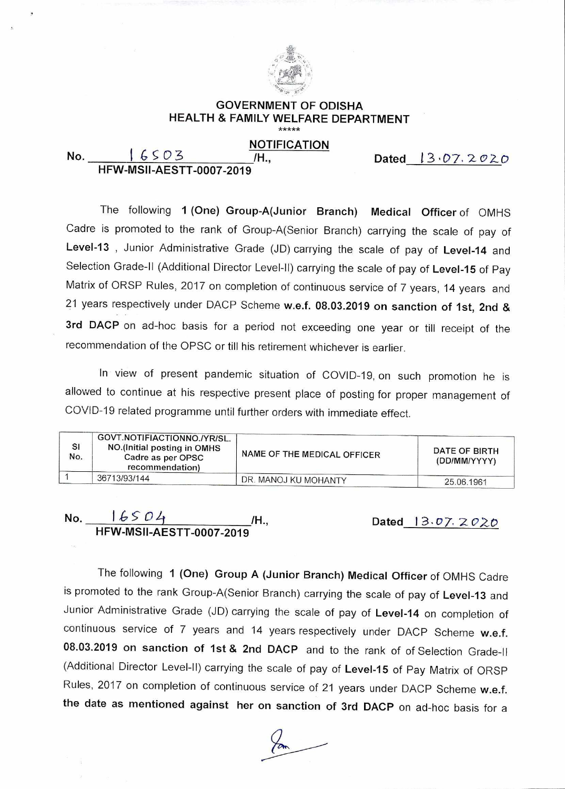

## **GOVERNMENT OF ODISHA HEALTH & FAMILY WELFARE DEPARTMENT**

## **NOTIFICATION**

**No.**  $16503$  **/H**., **HFW-MSII-AESTT-0007-2019** 

**Dated l 3 , 07, 2 (22,0** 

The following **1 (One) Group-A(Junior Branch) Medical Officer** of OMHS Cadre is promoted to the rank of Group-A(Senior Branch) carrying the scale of pay of **Level-13 ,** Junior Administrative Grade (JD) carrying the scale of pay of **Level-14** and Selection Grade-II (Additional Director Level-II) carrying the scale of pay of **Level-15** of Pay Matrix of ORSP Rules, 2017 on completion of continuous service of 7 years, 14 years and 21 years respectively under DACP Scheme **w.e.f. 08.03.2019 on sanction of 1st, 2nd & 3rd DACP** on ad-hoc basis for a period not exceeding one year or till receipt of the recommendation of the OPSC or till his retirement whichever is earlier.

In view of present pandemic situation of COVID-19, on such promotion he is allowed to continue at his respective present place of posting for proper management of COVID-19 related programme until further orders with immediate effect.

| <b>SI</b><br>No. | GOVT.NOTIFIACTIONNO./YR/SL.<br>NO.(Initial posting in OMHS<br>Cadre as per OPSC<br>recommendation) | NAME OF THE MEDICAL OFFICER | DATE OF BIRTH<br>(DD/MM/YYYY) |
|------------------|----------------------------------------------------------------------------------------------------|-----------------------------|-------------------------------|
|                  | 36713/93/144                                                                                       | DR. MANOJ KU MOHANTY        | 25.06.1961                    |

**No.**  $16504$  /H., **HFW-MSII-AESTT-0007-2019**  Dated 13.07.2020

The following **1 (One) Group A (Junior Branch) Medical Officer** of OMHS Cadre is promoted to the rank Group-A(Senior Branch) carrying the scale of pay of **Level-13** and Junior Administrative Grade (JD) carrying the scale of pay of **Level-14** on completion of continuous service of 7 years and 14 years respectively under DACP Scheme **w.e.f. 08.03.2019 on sanction of 1st & 2nd DACP** and to the rank of of Selection Grade-II (Additional Director Level-II) carrying the scale of pay of **Level-15** of Pay Matrix of ORSP Rules, 2017 on completion of continuous service of 21 years under DACP Scheme **w.e.f. the date as mentioned against her on sanction of 3rd DACP** on ad-hoc basis for a